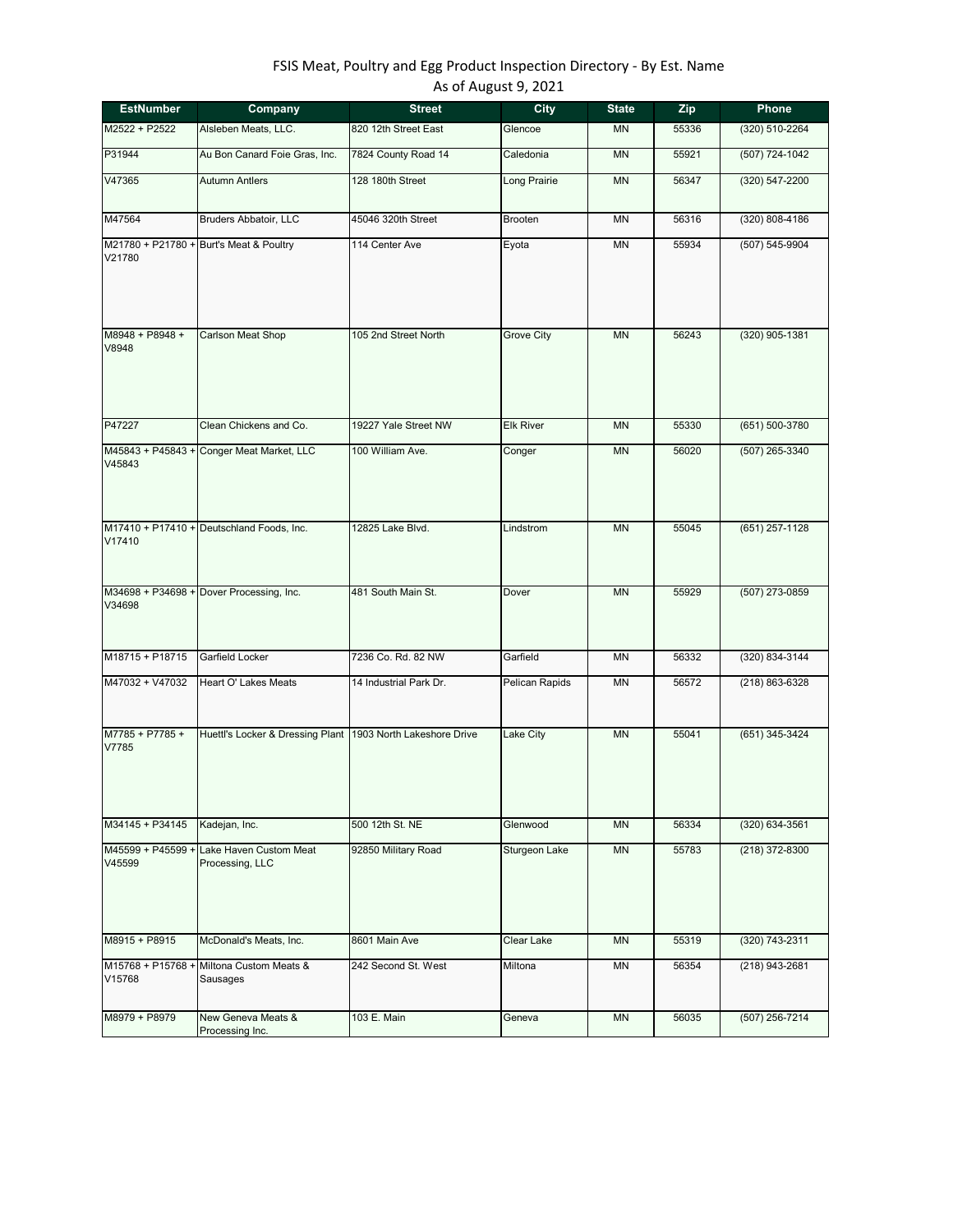| <b>EstNumber</b>            | Company                                                     | <b>Street</b>          | City              | <b>State</b> | Zip   | Phone              |
|-----------------------------|-------------------------------------------------------------|------------------------|-------------------|--------------|-------|--------------------|
| M2522 + P2522               | Alsleben Meats, LLC.                                        | 820 12th Street East   | Glencoe           | MN           | 55336 | (320) 510-2264     |
| P31944                      | Au Bon Canard Foie Gras, Inc.                               | 7824 County Road 14    | Caledonia         | <b>MN</b>    | 55921 | (507) 724-1042     |
| V47365                      | <b>Autumn Antlers</b>                                       | 128 180th Street       | Long Prairie      | <b>MN</b>    | 56347 | (320) 547-2200     |
| M47564                      | Bruders Abbatoir, LLC                                       | 45046 320th Street     | <b>Brooten</b>    | MN           | 56316 | (320) 808-4186     |
| V21780                      | M21780 + P21780 + Burt's Meat & Poultry                     | 114 Center Ave         | Eyota             | MN           | 55934 | (507) 545-9904     |
| M8948 + P8948 +<br>V8948    | Carlson Meat Shop                                           | 105 2nd Street North   | <b>Grove City</b> | <b>MN</b>    | 56243 | (320) 905-1381     |
| P47227                      | Clean Chickens and Co.                                      | 19227 Yale Street NW   | <b>Elk River</b>  | <b>MN</b>    | 55330 | (651) 500-3780     |
| V45843                      | M45843 + P45843 + Conger Meat Market, LLC                   | 100 William Ave.       | Conger            | <b>MN</b>    | 56020 | (507) 265-3340     |
| V17410                      | M17410 + P17410 + Deutschland Foods, Inc.                   | 12825 Lake Blvd.       | Lindstrom         | <b>MN</b>    | 55045 | $(651)$ 257-1128   |
| V34698                      | M34698 + P34698 + Dover Processing, Inc.                    | 481 South Main St.     | Dover             | <b>MN</b>    | 55929 | (507) 273-0859     |
| M18715 + P18715             | Garfield Locker                                             | 7236 Co. Rd. 82 NW     | Garfield          | MN           | 56332 | $(320) 834 - 3144$ |
| M47032 + V47032             | Heart O' Lakes Meats                                        | 14 Industrial Park Dr. | Pelican Rapids    | MN           | 56572 | (218) 863-6328     |
| M7785 + P7785 +<br>V7785    | Huettl's Locker & Dressing Plant 1903 North Lakeshore Drive |                        | Lake City         | <b>MN</b>    | 55041 | (651) 345-3424     |
| M34145 + P34145             | Kadejan, Inc.                                               | 500 12th St. NE        | Glenwood          | <b>MN</b>    | 56334 | (320) 634-3561     |
| M45599 + P45599 +<br>V45599 | Lake Haven Custom Meat<br>Processing, LLC                   | 92850 Military Road    | Sturgeon Lake     | <b>MN</b>    | 55783 | (218) 372-8300     |
| M8915 + P8915               | McDonald's Meats, Inc.                                      | 8601 Main Ave          | Clear Lake        | <b>MN</b>    | 55319 | (320) 743-2311     |
| M15768 + P15768 +<br>V15768 | Miltona Custom Meats &<br>Sausages                          | 242 Second St. West    | Miltona           | MN           | 56354 | (218) 943-2681     |
| M8979 + P8979               | New Geneva Meats &<br>Processing Inc.                       | 103 E. Main            | Geneva            | <b>MN</b>    | 56035 | (507) 256-7214     |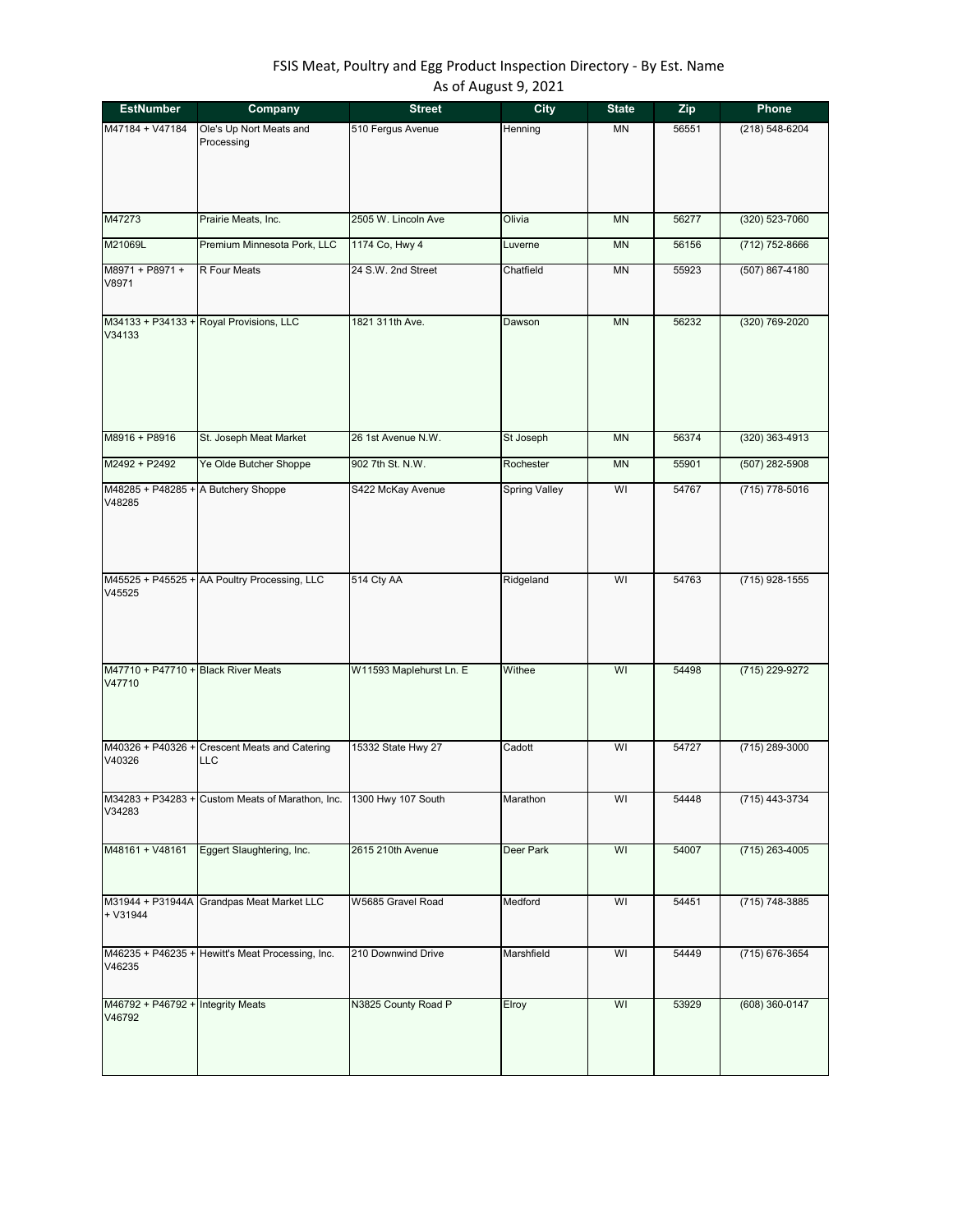| <b>EstNumber</b>                              | Company                                                     | <b>Street</b>           | City                 | <b>State</b> | Zip   | Phone            |
|-----------------------------------------------|-------------------------------------------------------------|-------------------------|----------------------|--------------|-------|------------------|
| M47184 + V47184                               | Ole's Up Nort Meats and<br>Processing                       | 510 Fergus Avenue       | Henning              | MN           | 56551 | (218) 548-6204   |
|                                               |                                                             |                         |                      |              |       |                  |
| M47273                                        | Prairie Meats, Inc.                                         | 2505 W. Lincoln Ave     | Olivia               | <b>MN</b>    | 56277 | (320) 523-7060   |
| M21069L                                       | Premium Minnesota Pork, LLC                                 | 1174 Co, Hwy 4          | Luverne              | <b>MN</b>    | 56156 | (712) 752-8666   |
| M8971 + P8971 +<br>V8971                      | R Four Meats                                                | 24 S.W. 2nd Street      | Chatfield            | <b>MN</b>    | 55923 | (507) 867-4180   |
| V34133                                        | M34133 + P34133 + Royal Provisions, LLC                     | 1821 311th Ave.         | Dawson               | <b>MN</b>    | 56232 | (320) 769-2020   |
| M8916 + P8916                                 | St. Joseph Meat Market                                      | 26 1st Avenue N.W.      | St Joseph            | <b>MN</b>    | 56374 | $(320)$ 363-4913 |
| M2492 + P2492                                 | Ye Olde Butcher Shoppe                                      | 902 7th St. N.W.        | Rochester            | <b>MN</b>    | 55901 | $(507)$ 282-5908 |
| M48285 + P48285 + A Butchery Shoppe<br>V48285 |                                                             | S422 McKay Avenue       | <b>Spring Valley</b> | WI           | 54767 | $(715)$ 778-5016 |
| V45525                                        | M45525 + P45525 + AA Poultry Processing, LLC                | 514 Cty AA              | Ridgeland            | WI           | 54763 | (715) 928-1555   |
| M47710 + P47710 + Black River Meats<br>V47710 |                                                             | W11593 Maplehurst Ln. E | Withee               | WI           | 54498 | (715) 229-9272   |
| V40326                                        | M40326 + P40326 + Crescent Meats and Catering<br><b>LLC</b> | 15332 State Hwy 27      | Cadott               | WI           | 54727 | (715) 289-3000   |
| V34283                                        | M34283 + P34283 + Custom Meats of Marathon, Inc.            | 1300 Hwy 107 South      | Marathon             | WI           | 54448 | (715) 443-3734   |
| M48161 + V48161                               | Eggert Slaughtering, Inc.                                   | 2615 210th Avenue       | Deer Park            | WI           | 54007 | (715) 263-4005   |
| + V31944                                      | M31944 + P31944A Grandpas Meat Market LLC                   | W5685 Gravel Road       | Medford              | WI           | 54451 | (715) 748-3885   |
| V46235                                        | M46235 + P46235 + Hewitt's Meat Processing, Inc.            | 210 Downwind Drive      | Marshfield           | WI           | 54449 | (715) 676-3654   |
| M46792 + P46792 + Integrity Meats<br>V46792   |                                                             | N3825 County Road P     | Elroy                | WI           | 53929 | (608) 360-0147   |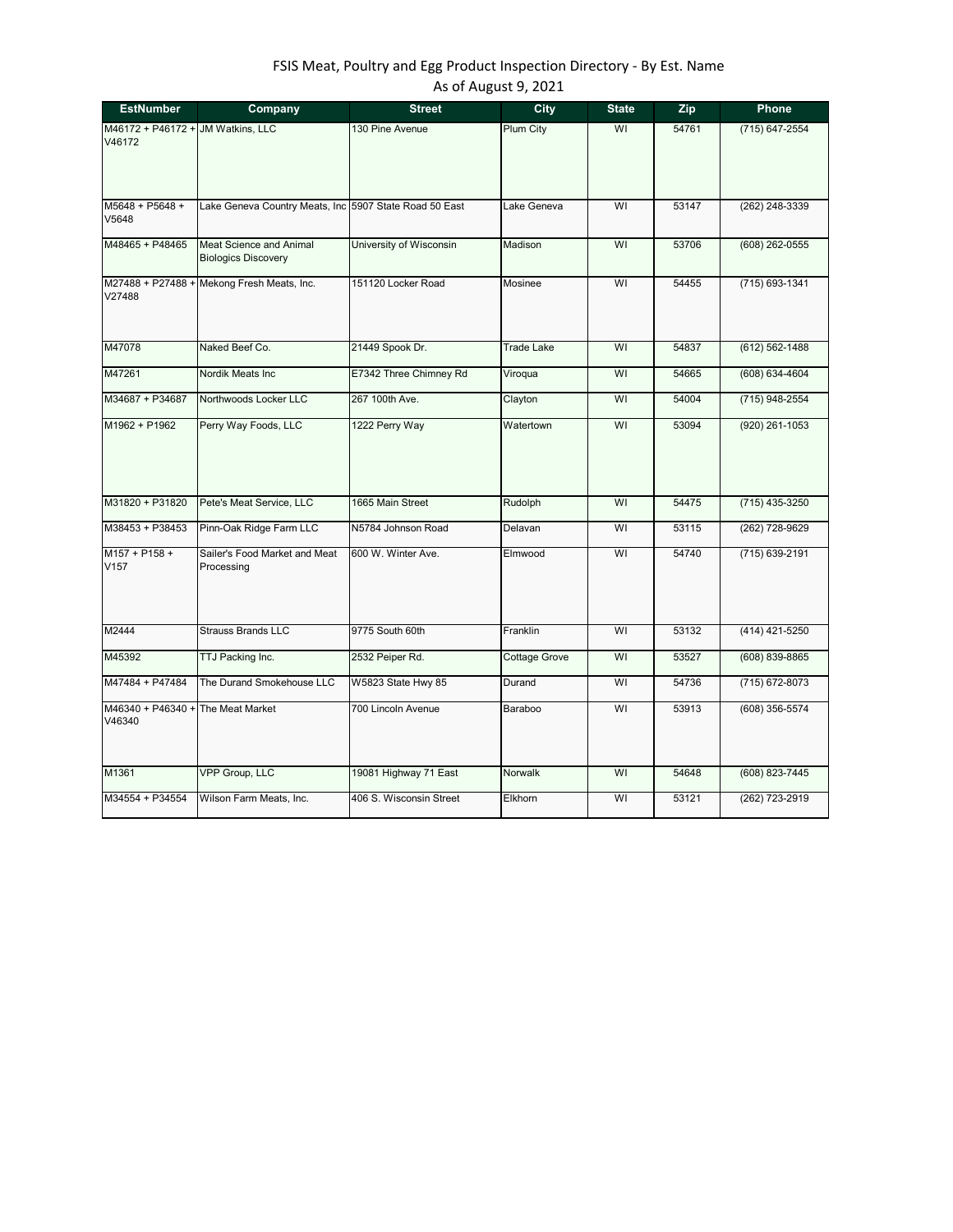| <b>EstNumber</b>                            | Company                                                      | <b>Street</b>           | <b>City</b>   | <b>State</b> | Zip   | Phone            |
|---------------------------------------------|--------------------------------------------------------------|-------------------------|---------------|--------------|-------|------------------|
| M46172 + P46172 + JM Watkins, LLC<br>V46172 |                                                              | 130 Pine Avenue         | Plum City     | WI           | 54761 | (715) 647-2554   |
| M5648 + P5648 +<br>V5648                    | Lake Geneva Country Meats, Inc 5907 State Road 50 East       |                         | Lake Geneva   | WI           | 53147 | (262) 248-3339   |
| M48465 + P48465                             | <b>Meat Science and Animal</b><br><b>Biologics Discovery</b> | University of Wisconsin | Madison       | WI           | 53706 | (608) 262-0555   |
| V27488                                      | M27488 + P27488 + Mekong Fresh Meats, Inc.                   | 151120 Locker Road      | Mosinee       | WI           | 54455 | (715) 693-1341   |
| M47078                                      | Naked Beef Co.                                               | 21449 Spook Dr.         | Trade Lake    | WI           | 54837 | (612) 562-1488   |
| M47261                                      | Nordik Meats Inc                                             | E7342 Three Chimney Rd  | Viroqua       | WI           | 54665 | (608) 634-4604   |
| M34687 + P34687                             | Northwoods Locker LLC                                        | 267 100th Ave.          | Clayton       | WI           | 54004 | (715) 948-2554   |
| M1962 + P1962                               | Perry Way Foods, LLC                                         | 1222 Perry Way          | Watertown     | WI           | 53094 | (920) 261-1053   |
| M31820 + P31820                             | Pete's Meat Service, LLC                                     | 1665 Main Street        | Rudolph       | WI           | 54475 | (715) 435-3250   |
| M38453 + P38453                             | Pinn-Oak Ridge Farm LLC                                      | N5784 Johnson Road      | Delavan       | WI           | 53115 | (262) 728-9629   |
| M157 + P158 +<br>V <sub>157</sub>           | Sailer's Food Market and Meat<br>Processing                  | 600 W. Winter Ave.      | Elmwood       | WI           | 54740 | (715) 639-2191   |
| M2444                                       | <b>Strauss Brands LLC</b>                                    | 9775 South 60th         | Franklin      | WI           | 53132 | $(414)$ 421-5250 |
| M45392                                      | TTJ Packing Inc.                                             | 2532 Peiper Rd.         | Cottage Grove | WI           | 53527 | (608) 839-8865   |
| M47484 + P47484                             | The Durand Smokehouse LLC                                    | W5823 State Hwy 85      | Durand        | WI           | 54736 | (715) 672-8073   |
| M46340 + P46340 + The Meat Market<br>V46340 |                                                              | 700 Lincoln Avenue      | Baraboo       | WI           | 53913 | (608) 356-5574   |
| M1361                                       | VPP Group, LLC                                               | 19081 Highway 71 East   | Norwalk       | WI           | 54648 | (608) 823-7445   |
| M34554 + P34554                             | Wilson Farm Meats, Inc.                                      | 406 S. Wisconsin Street | Elkhorn       | WI           | 53121 | (262) 723-2919   |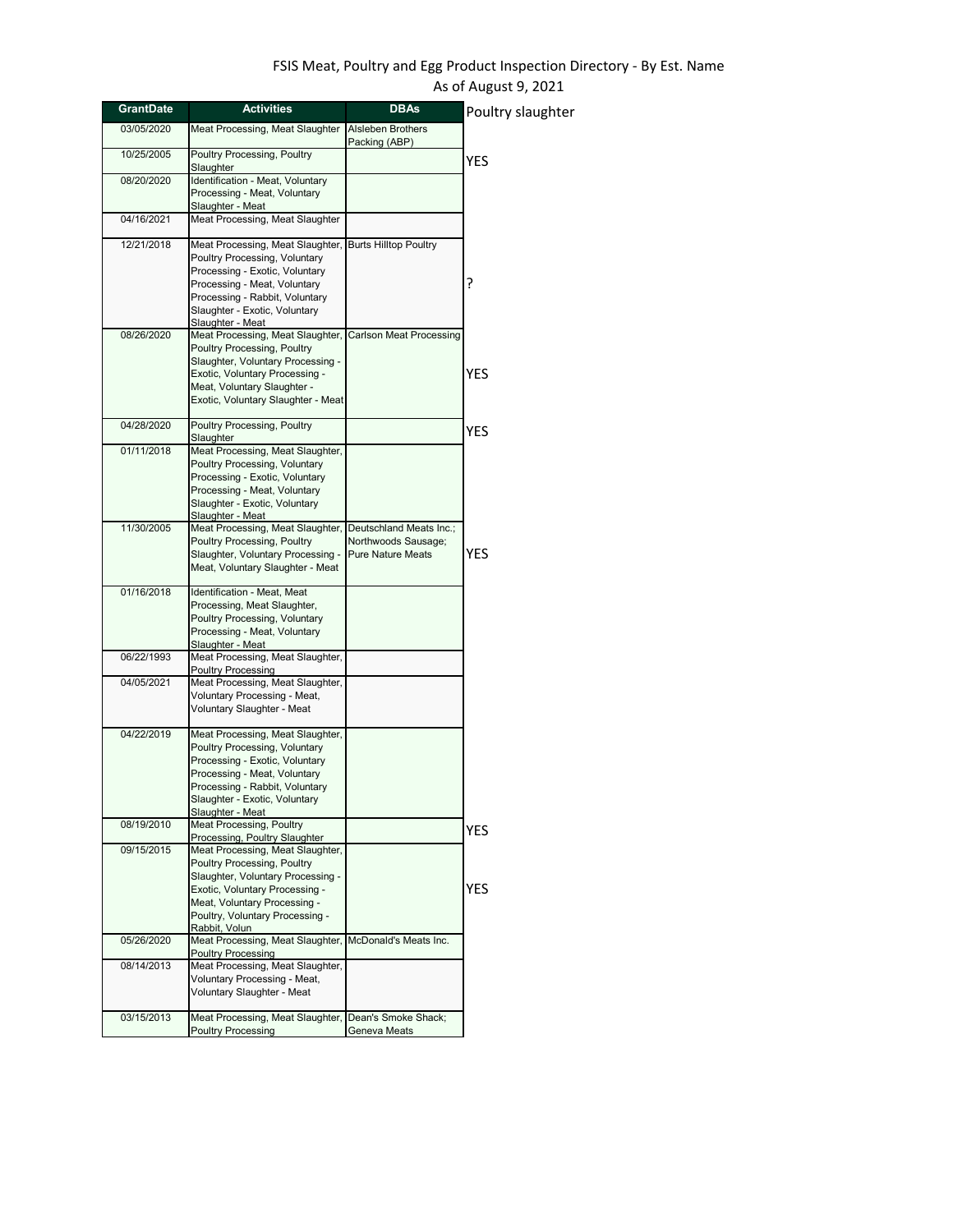| <b>GrantDate</b> | <b>Activities</b>                                                 | <b>DBAs</b>                    | Poultry slaughter |
|------------------|-------------------------------------------------------------------|--------------------------------|-------------------|
| 03/05/2020       | Meat Processing, Meat Slaughter                                   | Alsleben Brothers              |                   |
|                  |                                                                   | Packing (ABP)                  |                   |
| 10/25/2005       | <b>Poultry Processing, Poultry</b><br>Slaughter                   |                                | YES               |
| 08/20/2020       | Identification - Meat, Voluntary                                  |                                |                   |
|                  | Processing - Meat, Voluntary                                      |                                |                   |
|                  | Slaughter - Meat                                                  |                                |                   |
| 04/16/2021       | Meat Processing, Meat Slaughter                                   |                                |                   |
|                  |                                                                   |                                |                   |
| 12/21/2018       | Meat Processing, Meat Slaughter,<br>Poultry Processing, Voluntary | <b>Burts Hilltop Poultry</b>   |                   |
|                  | Processing - Exotic, Voluntary                                    |                                |                   |
|                  | Processing - Meat, Voluntary                                      |                                | ?                 |
|                  | Processing - Rabbit, Voluntary                                    |                                |                   |
|                  | Slaughter - Exotic, Voluntary                                     |                                |                   |
| 08/26/2020       | Slaughter - Meat<br>Meat Processing, Meat Slaughter,              |                                |                   |
|                  | Poultry Processing, Poultry                                       | <b>Carlson Meat Processing</b> |                   |
|                  | Slaughter, Voluntary Processing -                                 |                                |                   |
|                  | Exotic, Voluntary Processing -                                    |                                | YES               |
|                  | Meat, Voluntary Slaughter -                                       |                                |                   |
|                  | Exotic, Voluntary Slaughter - Meat                                |                                |                   |
| 04/28/2020       | Poultry Processing, Poultry                                       |                                |                   |
|                  | Slaughter                                                         |                                | YES               |
| 01/11/2018       | Meat Processing, Meat Slaughter,                                  |                                |                   |
|                  | Poultry Processing, Voluntary                                     |                                |                   |
|                  | Processing - Exotic, Voluntary                                    |                                |                   |
|                  | Processing - Meat, Voluntary                                      |                                |                   |
|                  | Slaughter - Exotic, Voluntary<br>Slaughter - Meat                 |                                |                   |
| 11/30/2005       | Meat Processing, Meat Slaughter,                                  | Deutschland Meats Inc.;        |                   |
|                  | Poultry Processing, Poultry                                       | Northwoods Sausage;            |                   |
|                  | Slaughter, Voluntary Processing -                                 | <b>Pure Nature Meats</b>       | YES               |
|                  | Meat, Voluntary Slaughter - Meat                                  |                                |                   |
| 01/16/2018       | Identification - Meat, Meat                                       |                                |                   |
|                  | Processing, Meat Slaughter,                                       |                                |                   |
|                  | Poultry Processing, Voluntary                                     |                                |                   |
|                  | Processing - Meat, Voluntary                                      |                                |                   |
|                  | Slaughter - Meat                                                  |                                |                   |
| 06/22/1993       | Meat Processing, Meat Slaughter,<br><b>Poultry Processing</b>     |                                |                   |
| 04/05/2021       | Meat Processing, Meat Slaughter,                                  |                                |                   |
|                  | Voluntary Processing - Meat,                                      |                                |                   |
|                  | Voluntary Slaughter - Meat                                        |                                |                   |
|                  |                                                                   |                                |                   |
| 04/22/2019       | Meat Processing, Meat Slaughter,                                  |                                |                   |
|                  | Poultry Processing, Voluntary<br>Processing - Exotic, Voluntary   |                                |                   |
|                  | Processing - Meat, Voluntary                                      |                                |                   |
|                  | Processing - Rabbit, Voluntary                                    |                                |                   |
|                  | Slaughter - Exotic, Voluntary                                     |                                |                   |
|                  | Slaughter - Meat                                                  |                                |                   |
| 08/19/2010       | Meat Processing, Poultry<br>Processing, Poultry Slaughter         |                                | YES               |
| 09/15/2015       | Meat Processing, Meat Slaughter,                                  |                                |                   |
|                  | Poultry Processing, Poultry                                       |                                |                   |
|                  | Slaughter, Voluntary Processing -                                 |                                |                   |
|                  | Exotic, Voluntary Processing -                                    |                                | YES               |
|                  | Meat, Voluntary Processing -                                      |                                |                   |
|                  | Poultry, Voluntary Processing -<br>Rabbit. Volun                  |                                |                   |
| 05/26/2020       | Meat Processing, Meat Slaughter,                                  | McDonald's Meats Inc.          |                   |
|                  | <b>Poultry Processing</b>                                         |                                |                   |
| 08/14/2013       | Meat Processing, Meat Slaughter,                                  |                                |                   |
|                  | Voluntary Processing - Meat,                                      |                                |                   |
|                  | Voluntary Slaughter - Meat                                        |                                |                   |
| 03/15/2013       | Meat Processing, Meat Slaughter,                                  | Dean's Smoke Shack;            |                   |
|                  | <b>Poultry Processing</b>                                         | Geneva Meats                   |                   |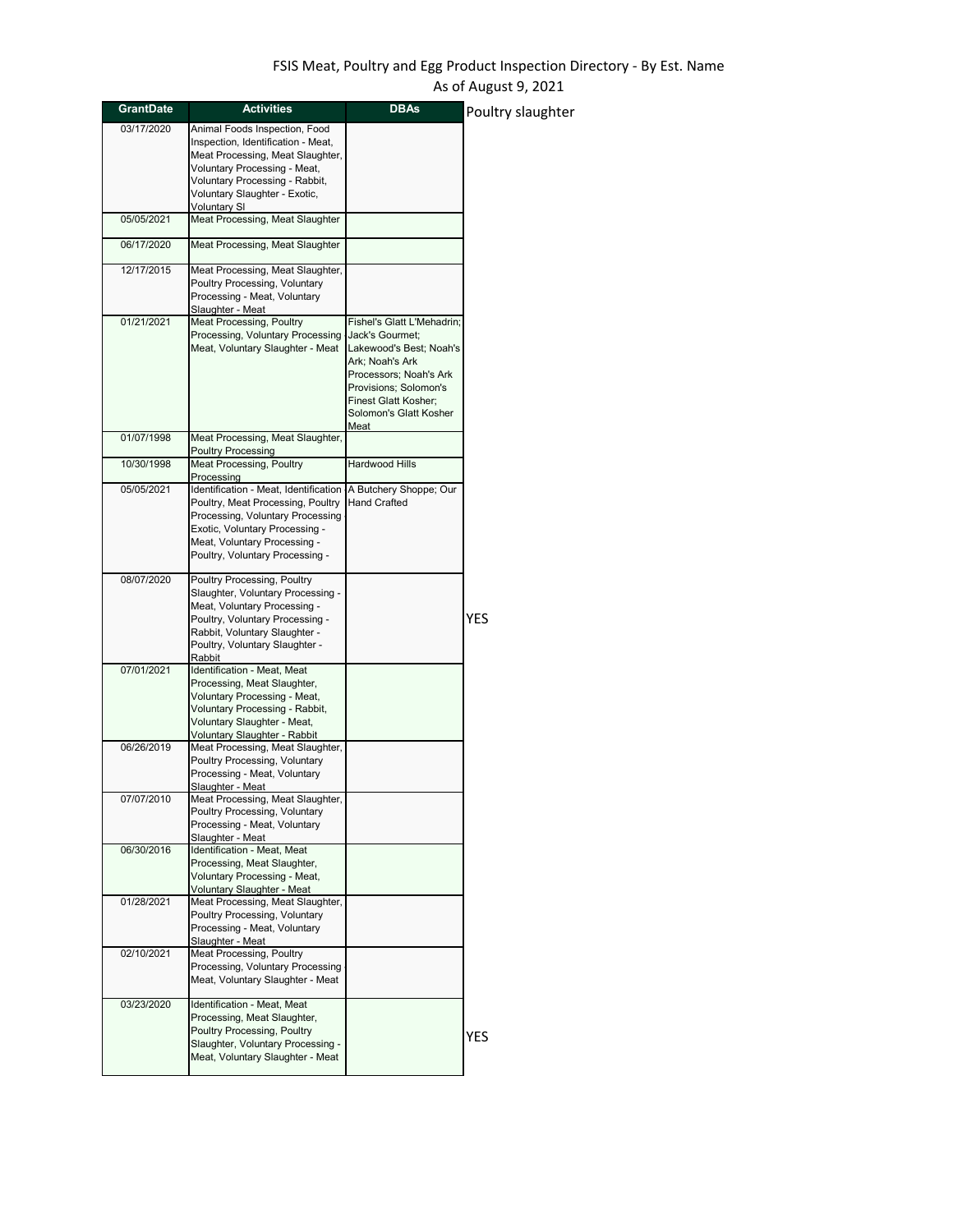| GrantDate  | <b>Activities</b>                                                                                                                                                                                                          | <b>DBAs</b>                                                                                                                                                                                              | Poultry slaughter |
|------------|----------------------------------------------------------------------------------------------------------------------------------------------------------------------------------------------------------------------------|----------------------------------------------------------------------------------------------------------------------------------------------------------------------------------------------------------|-------------------|
| 03/17/2020 | Animal Foods Inspection, Food<br>Inspection, Identification - Meat,<br>Meat Processing, Meat Slaughter,<br>Voluntary Processing - Meat,<br>Voluntary Processing - Rabbit,<br>Voluntary Slaughter - Exotic,<br>Voluntary SI |                                                                                                                                                                                                          |                   |
| 05/05/2021 | Meat Processing, Meat Slaughter                                                                                                                                                                                            |                                                                                                                                                                                                          |                   |
| 06/17/2020 | Meat Processing, Meat Slaughter                                                                                                                                                                                            |                                                                                                                                                                                                          |                   |
| 12/17/2015 | Meat Processing, Meat Slaughter,<br>Poultry Processing, Voluntary<br>Processing - Meat, Voluntary<br>Slaughter - Meat                                                                                                      |                                                                                                                                                                                                          |                   |
| 01/21/2021 | <b>Meat Processing, Poultry</b><br>Processing, Voluntary Processing<br>Meat, Voluntary Slaughter - Meat                                                                                                                    | Fishel's Glatt L'Mehadrin;<br>Jack's Gourmet;<br>Lakewood's Best; Noah's<br>Ark; Noah's Ark<br>Processors; Noah's Ark<br>Provisions; Solomon's<br>Finest Glatt Kosher;<br>Solomon's Glatt Kosher<br>Meat |                   |
| 01/07/1998 | Meat Processing, Meat Slaughter,<br><b>Poultry Processing</b>                                                                                                                                                              |                                                                                                                                                                                                          |                   |
| 10/30/1998 | Meat Processing, Poultry<br>Processing                                                                                                                                                                                     | Hardwood Hills                                                                                                                                                                                           |                   |
| 05/05/2021 | Identification - Meat, Identification<br>Poultry, Meat Processing, Poultry<br>Processing, Voluntary Processing<br>Exotic, Voluntary Processing -<br>Meat, Voluntary Processing -<br>Poultry, Voluntary Processing -        | A Butchery Shoppe; Our<br><b>Hand Crafted</b>                                                                                                                                                            |                   |
| 08/07/2020 | Poultry Processing, Poultry<br>Slaughter, Voluntary Processing -<br>Meat, Voluntary Processing -<br>Poultry, Voluntary Processing -<br>Rabbit, Voluntary Slaughter -<br>Poultry, Voluntary Slaughter -<br>Rabbit           |                                                                                                                                                                                                          | YES               |
| 07/01/2021 | Identification - Meat, Meat<br>Processing, Meat Slaughter,<br>Voluntary Processing - Meat,<br>Voluntary Processing - Rabbit,<br>Voluntary Slaughter - Meat,<br>Voluntary Slaughter - Rabbit                                |                                                                                                                                                                                                          |                   |
| 06/26/2019 | Meat Processing, Meat Slaughter,<br>Poultry Processing, Voluntary<br>Processing - Meat, Voluntary<br>Slaughter - Meat                                                                                                      |                                                                                                                                                                                                          |                   |
| 07/07/2010 | Meat Processing, Meat Slaughter,<br>Poultry Processing, Voluntary<br>Processing - Meat, Voluntary<br>Slaughter - Meat                                                                                                      |                                                                                                                                                                                                          |                   |
| 06/30/2016 | Identification - Meat, Meat<br>Processing, Meat Slaughter,<br>Voluntary Processing - Meat,<br>Voluntary Slaughter - Meat                                                                                                   |                                                                                                                                                                                                          |                   |
| 01/28/2021 | Meat Processing, Meat Slaughter,<br>Poultry Processing, Voluntary<br>Processing - Meat, Voluntary<br>Slaughter - Meat                                                                                                      |                                                                                                                                                                                                          |                   |
| 02/10/2021 | Meat Processing, Poultry<br>Processing, Voluntary Processing<br>Meat, Voluntary Slaughter - Meat                                                                                                                           |                                                                                                                                                                                                          |                   |
| 03/23/2020 | Identification - Meat, Meat<br>Processing, Meat Slaughter,<br>Poultry Processing, Poultry<br>Slaughter, Voluntary Processing -<br>Meat, Voluntary Slaughter - Meat                                                         |                                                                                                                                                                                                          | YES               |